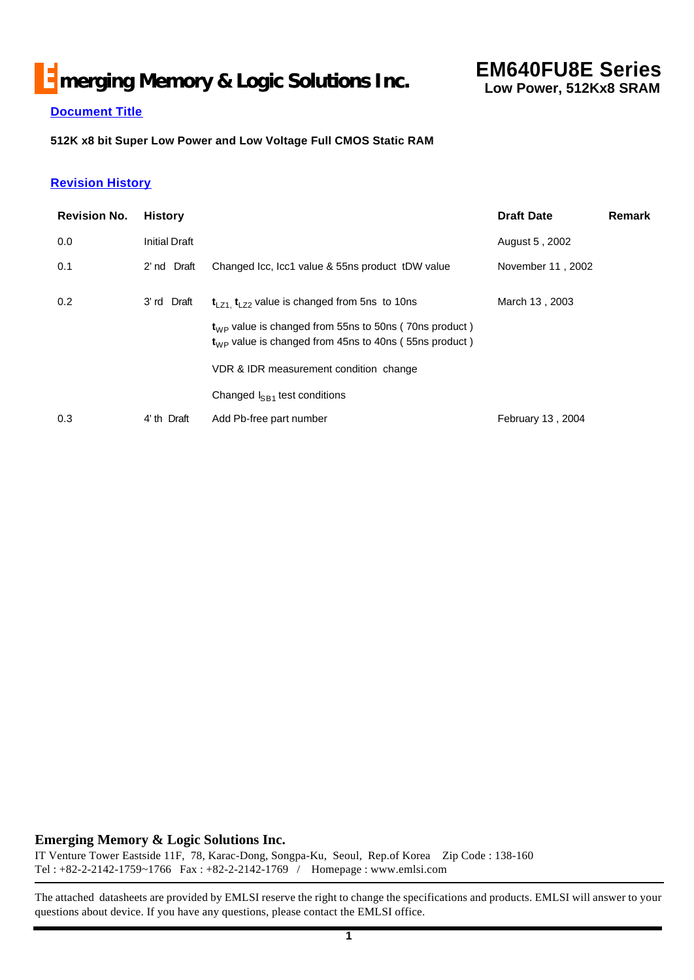# **E** merging Memory & Logic Solutions Inc.

## **EM640FU8E Series Low Power, 512Kx8 SRAM**

## **Document Title**

**512K x8 bit Super Low Power and Low Voltage Full CMOS Static RAM**

### **Revision History**

| <b>Revision No.</b> | <b>History</b>       |                                                                                                                    | <b>Draft Date</b> | <b>Remark</b> |
|---------------------|----------------------|--------------------------------------------------------------------------------------------------------------------|-------------------|---------------|
| 0.0                 | <b>Initial Draft</b> |                                                                                                                    | August 5, 2002    |               |
| 0.1                 | 2' nd Draft          | Changed Icc, Icc1 value & 55ns product tDW value                                                                   | November 11, 2002 |               |
| 0.2                 | 3'rd Draft           | $t_{LZ1}$ , $t_{LZ2}$ value is changed from 5ns to 10ns                                                            | March 13, 2003    |               |
|                     |                      | $tWP$ value is changed from 55ns to 50ns (70ns product)<br>$tWP$ value is changed from 45ns to 40ns (55ns product) |                   |               |
|                     |                      | VDR & IDR measurement condition change                                                                             |                   |               |
|                     |                      | Changed $I_{SB1}$ test conditions                                                                                  |                   |               |
| 0.3                 | 4' th Draft          | Add Pb-free part number                                                                                            | February 13, 2004 |               |

#### **Emerging Memory & Logic Solutions Inc.**

IT Venture Tower Eastside 11F, 78, Karac-Dong, Songpa-Ku, Seoul, Rep.of Korea Zip Code : 138-160 Tel : +82-2-2142-1759~1766 Fax : +82-2-2142-1769 / Homepage : www.emlsi.com

The attached datasheets are provided by EMLSI reserve the right to change the specifications and products. EMLSI will answer to your questions about device. If you have any questions, please contact the EMLSI office.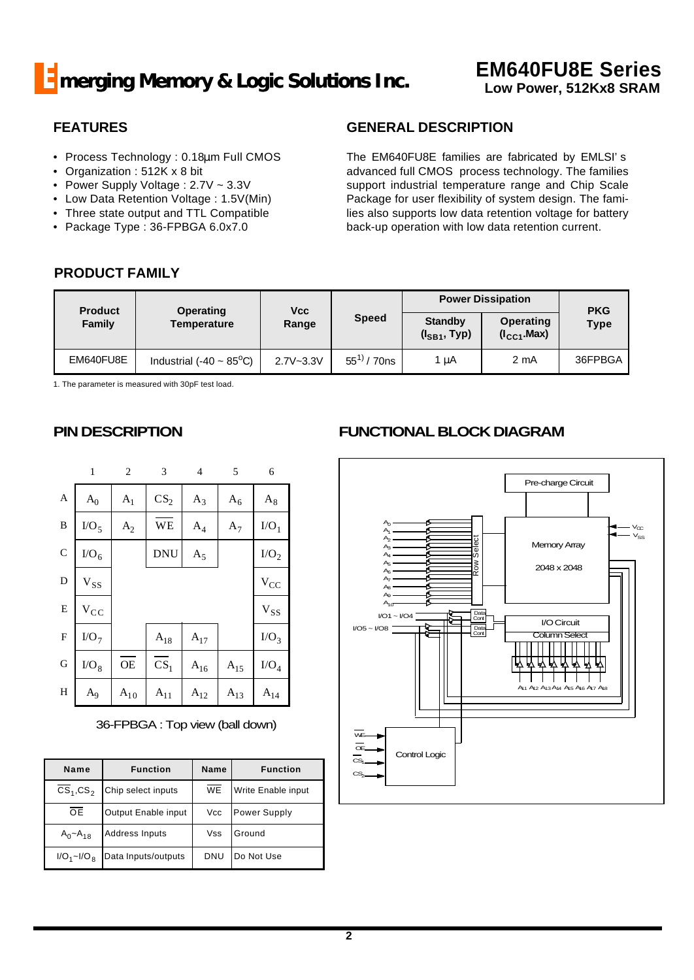## **FEATURES**

- Process Technology : 0.18μm Full CMOS
- Organization : 512K x 8 bit
- Power Supply Voltage : 2.7V ~ 3.3V
- Low Data Retention Voltage : 1.5V(Min)
- Three state output and TTL Compatible
- Package Type : 36-FPBGA 6.0x7.0

## **GENERAL DESCRIPTION**

The EM640FU8E families are fabricated by EMLSI's advanced full CMOS process technology. The families support industrial temperature range and Chip Scale Package for user flexibility of system design. The families also supports low data retention voltage for battery back-up operation with low data retention current.

## **PRODUCT FAMILY**

|           | <b>Product</b>                            |               | <b>Vcc</b><br>Operating |                                     | <b>Power Dissipation</b>     | <b>PKG</b>  |  |
|-----------|-------------------------------------------|---------------|-------------------------|-------------------------------------|------------------------------|-------------|--|
| Family    | <b>Temperature</b>                        | Range         | <b>Speed</b>            | <b>Standby</b><br>$(I_{SB1}, Type)$ | Operating<br>$(I_{CC1}.Max)$ | <b>Type</b> |  |
| EM640FU8E | Industrial (-40 $\sim$ 85 <sup>o</sup> C) | $2.7V - 3.3V$ | $55^{11}$ / 70ns        | 1 µA                                | 2 mA                         | 36FPBGA     |  |

1. The parameter is measured with 30pF test load.

## **PIN DESCRIPTION**

|                | $\mathbf{1}$   | $\overline{c}$ | 3                 | 4                 | 5            | 6                                   |
|----------------|----------------|----------------|-------------------|-------------------|--------------|-------------------------------------|
| $\overline{A}$ | $\mathbf{A}_0$ | $\rm A_1$      | CS <sub>2</sub>   | $A_3$             | $A_6$        | $\rm A_8$                           |
| $\, {\bf B}$   | $\rm I/O_5$    | $A_2$          | WE                | $\rm A_4$         | $A_7$        | $I/O_1$                             |
| $\mathbf C$    | $\rm I/O_6$    |                | <b>DNU</b>        | $A_5$             |              | I/O <sub>2</sub>                    |
| $\mathbf D$    | $V_{SS}$       |                |                   |                   |              | $\rm V_{CC}$                        |
| ${\bf E}$      | $\rm v_{cc}$   |                |                   |                   |              | $\mathbf{V}_{\mathbf{S}\mathbf{S}}$ |
| $\mathbf F$    | $\text{IO}_7$  |                | $\rm A_{18}$      | $\mathrm{A}_{17}$ |              | $I/O_3$                             |
| $\mathbf G$    | $\rm I/O_8$    | <b>OE</b>      | $\overline{c}s_1$ | $\rm A_{16}$      | $\rm A_{15}$ | $\rm I/O_4$                         |
| $H_{\rm}$      | $\rm A_9$      | $\rm A_{10}$   | $\rm A_{11}$      | $A_{12}$          | $\rm A_{13}$ | $\rm A_{14}$                        |

36-FPBGA : Top view (ball down)

| Name               | <b>Function</b>       | <b>Name</b> | <b>Function</b>    |
|--------------------|-----------------------|-------------|--------------------|
| $CS_1, CS_2$       | Chip select inputs    | <b>WE</b>   | Write Enable input |
| <b>OE</b>          | Output Enable input   | Vcc         | Power Supply       |
| $A_0 - A_{18}$     | <b>Address Inputs</b> | Vss         | Ground             |
| $I/O_1 \sim I/O_R$ | Data Inputs/outputs   | DNU         | Do Not Use         |

# **FUNCTIONAL BLOCK DIAGRAM**

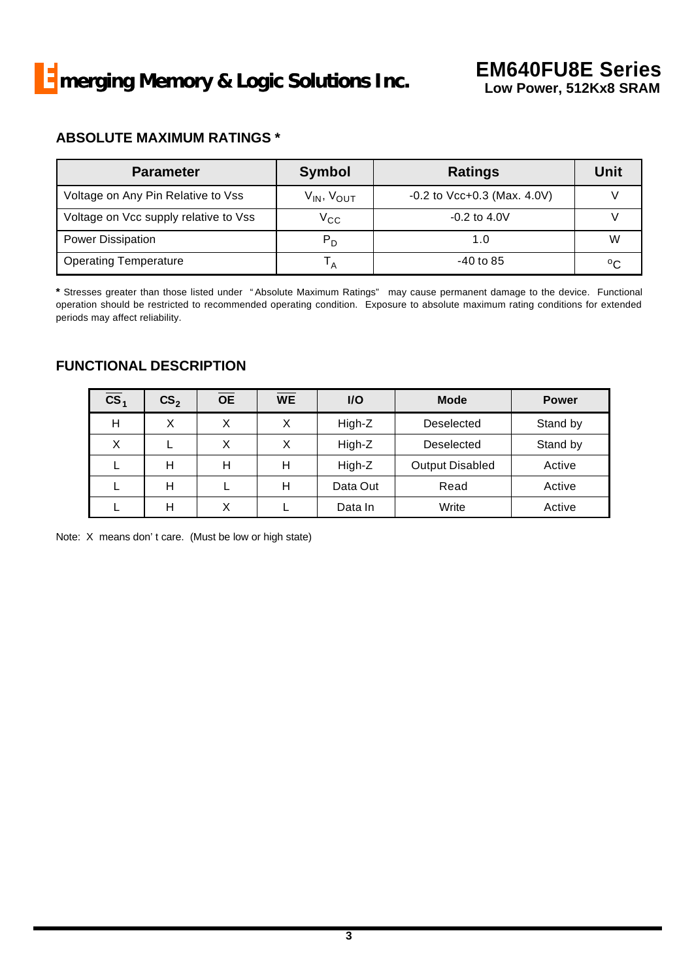## **ABSOLUTE MAXIMUM RATINGS \***

| <b>Parameter</b>                      | <b>Symbol</b>        | <b>Ratings</b>                   | Unit |
|---------------------------------------|----------------------|----------------------------------|------|
| Voltage on Any Pin Relative to Vss    | $V_{IN}$ , $V_{OUT}$ | $-0.2$ to Vcc $+0.3$ (Max. 4.0V) |      |
| Voltage on Vcc supply relative to Vss | $V_{CC}$             | $-0.2$ to $4.0V$                 |      |
| <b>Power Dissipation</b>              | $P_D$                | 1.0                              | W    |
| <b>Operating Temperature</b>          |                      | -40 to 85                        | °C   |

**\*** Stresses greater than those listed under "Absolute Maximum Ratings" may cause permanent damage to the device. Functional operation should be restricted to recommended operating condition. Exposure to absolute maximum rating conditions for extended periods may affect reliability.

## **FUNCTIONAL DESCRIPTION**

| $\overline{\text{cs}}_1$ | CS <sub>2</sub> | $\overline{OE}$ | $\overline{\mathsf{WE}}$ | I/O      | <b>Mode</b>            | <b>Power</b> |
|--------------------------|-----------------|-----------------|--------------------------|----------|------------------------|--------------|
| Н                        | X               | X               | X                        | High-Z   | Deselected             | Stand by     |
| X                        |                 | X               | X                        | High-Z   | Deselected             | Stand by     |
|                          | н               | н               | н                        | High-Z   | <b>Output Disabled</b> | Active       |
|                          | н               |                 | Н                        | Data Out | Read                   | Active       |
|                          | н               | X               |                          | Data In  | Write                  | Active       |

Note: X means don't care. (Must be low or high state)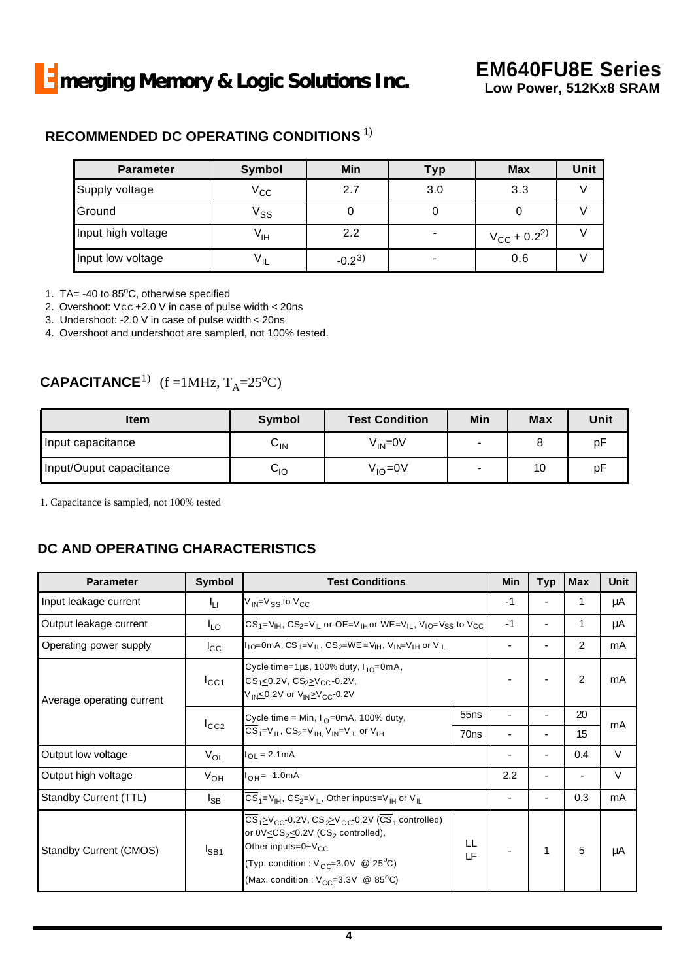## **RECOMMENDED DC OPERATING CONDITIONS** 1)

| <b>Parameter</b>   | Symbol          | Min        | Typ | <b>Max</b>                       | Unit |
|--------------------|-----------------|------------|-----|----------------------------------|------|
| Supply voltage     | $\rm V_{CC}$    | 2.7        | 3.0 | 3.3                              |      |
| Ground             | Vss             |            |     |                                  |      |
| Input high voltage | V <sub>IH</sub> | 2.2        |     | $V_{\rm CC}$ + 0.2 <sup>2)</sup> |      |
| Input low voltage  | $V_{IL}$        | $-0.2^{3}$ |     | 0.6                              |      |

1. TA=  $-40$  to 85 $^{\circ}$ C, otherwise specified

2. Overshoot: Vcc +2.0 V in case of pulse width  $\leq$  20ns

3. Undershoot: -2.0 V in case of pulse width  $\leq$  20ns

4. Overshoot and undershoot are sampled, not 100% tested.

# **CAPACITANCE**<sup>1)</sup> (f =1MHz,  $T_A$ =25<sup>o</sup>C)

| <b>Item</b>             | Symbol | <b>Test Condition</b> | Min | <b>Max</b> | Unit |
|-------------------------|--------|-----------------------|-----|------------|------|
| Input capacitance       | ∨∣N    | $V_{IN} = 0V$         |     |            | p⊦   |
| Input/Ouput capacitance | סוך    | $V_{IO}$ =0V          |     | 10         | p⊦   |

1. Capacitance is sampled, not 100% tested

## **DC AND OPERATING CHARACTERISTICS**

| <b>Parameter</b>          | Symbol            | <b>Test Conditions</b>                                                                                                                                                                                                                                                                                                                                                 |                                                                                                                                                                                | <b>Min</b> | <b>Typ</b> | <b>Max</b> | <b>Unit</b> |
|---------------------------|-------------------|------------------------------------------------------------------------------------------------------------------------------------------------------------------------------------------------------------------------------------------------------------------------------------------------------------------------------------------------------------------------|--------------------------------------------------------------------------------------------------------------------------------------------------------------------------------|------------|------------|------------|-------------|
| Input leakage current     | Чu                | $V_{\text{IN}}$ = $V_{SS}$ to $V_{CC}$                                                                                                                                                                                                                                                                                                                                 |                                                                                                                                                                                | -1         |            |            | μA          |
| Output leakage current    | $I_{LO}$          |                                                                                                                                                                                                                                                                                                                                                                        | $\overline{CS}_1 = V_{\text{IH}}$ , $CS_2 = V_{\text{IL}}$ or $\overline{OE} = V_{\text{IH}}$ or $\overline{WE} = V_{\text{IL}}$ , $V_{\text{IO}} = V_{SS}$ to $V_{\text{CC}}$ |            |            |            | μA          |
| Operating power supply    | $I_{\rm CC}$      | $I_{10}$ =0mA, CS <sub>1</sub> =V <sub>H</sub> , CS <sub>2</sub> =WE = V <sub>H</sub> , V <sub>IN</sub> =V <sub>H</sub> or V <sub>H</sub>                                                                                                                                                                                                                              |                                                                                                                                                                                |            |            | 2          | mA          |
| Average operating current | $I_{CC1}$         | Cycle time=1 $\mu$ s, 100% duty, $I_{10}$ =0mA,<br>$\overline{CS}_{1} \le 0.2V$ , $CS_{2} \ge V_{CC}$ -0.2V,<br>V <sub>IN</sub> ≤0.2V or V <sub>IN</sub> ≥V <sub>CC</sub> -0.2V                                                                                                                                                                                        |                                                                                                                                                                                |            |            | 2          | mA          |
|                           |                   | 55 <sub>ns</sub><br>Cycle time = Min, $I_{10}$ =0mA, 100% duty,<br>$\overline{CS}_1 = V_{1L}$ , $CS_2 = V_{1H}$ , $V_{1N} = V_{1L}$ or $V_{1H}$<br>70 <sub>ns</sub>                                                                                                                                                                                                    |                                                                                                                                                                                |            |            | 20         | mA          |
|                           | $I_{CC2}$         |                                                                                                                                                                                                                                                                                                                                                                        |                                                                                                                                                                                |            |            | 15         |             |
| Output low voltage        | $V_{OL}$          | $I_{OL} = 2.1mA$                                                                                                                                                                                                                                                                                                                                                       |                                                                                                                                                                                |            | ٠          | 0.4        | $\vee$      |
| Output high voltage       | V <sub>OH</sub>   | $I_{OH} = -1.0 \text{mA}$                                                                                                                                                                                                                                                                                                                                              |                                                                                                                                                                                | 2.2        | ٠          |            | V           |
| Standby Current (TTL)     | $I_{\mathsf{SB}}$ | $\overline{CS}_1 = V_{\text{IH}}$ , $CS_2 = V_{\text{IL}}$ , Other inputs=V <sub>IH</sub> or V <sub>IL</sub>                                                                                                                                                                                                                                                           |                                                                                                                                                                                |            | ٠          | 0.3        | mA          |
| Standby Current (CMOS)    | $I_{SB1}$         | $\overline{\text{CS}}_1 \geq \text{V}_{\text{CC}}$ -0.2V, $\text{CS}_2 \geq \text{V}_{\text{CC}}$ -0.2V ( $\overline{\text{CS}}_1$ controlled)<br>or $0\sqrt{\leq}C S_2 \leq 0.2V$ (CS <sub>2</sub> controlled),<br>Other inputs=0~V <sub>CC</sub><br>(Typ. condition : $V_{CC} = 3.0V$ @ 25 <sup>o</sup> C)<br>(Max. condition : $V_{CC} = 3.3V$ @ 85 <sup>o</sup> C) | LL<br>LF                                                                                                                                                                       |            |            | 5          | μA          |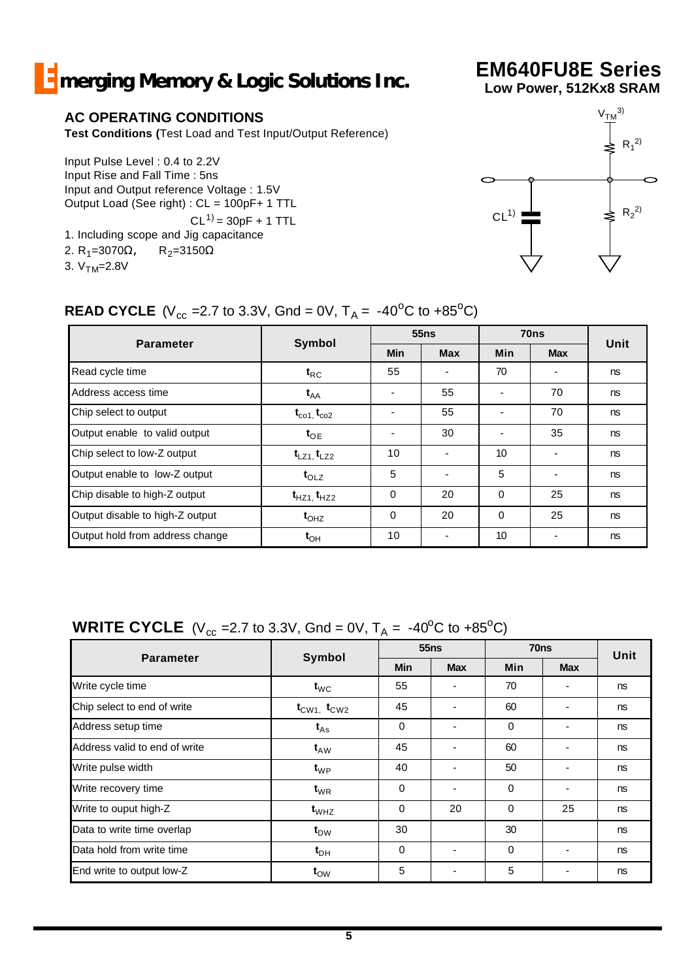# **E** merging Memory & Logic Solutions Inc.

## **AC OPERATING CONDITIONS**

**Test Conditions (**Test Load and Test Input/Output Reference)

Input Pulse Level : 0.4 to 2.2V Input Rise and Fall Time : 5ns Input and Output reference Voltage : 1.5V Output Load (See right) : CL = 100pF+ 1 TTL  $CL^{1)} = 30pF + 1$  TTL 1. Including scope and Jig capacitance

- 2. R<sub>1</sub>=3070Ω, R<sub>2</sub>=3150Ω
- 3.  $V<sub>TM</sub>=2.8V$



**EM640FU8E Series Low Power, 512Kx8 SRAM**

## **READ CYCLE** (V<sub>cc</sub> = 2.7 to 3.3V, Gnd = 0V,  $T_A = -40^{\circ}$ C to +85<sup>o</sup>C)

|                                 |                               |            | 55ns       |            | 70 <sub>ns</sub> |      |
|---------------------------------|-------------------------------|------------|------------|------------|------------------|------|
| <b>Parameter</b>                | <b>Symbol</b>                 | <b>Min</b> | <b>Max</b> | <b>Min</b> | <b>Max</b>       | Unit |
| Read cycle time                 | $\mathbf{t}_{\mathsf{RC}}$    | 55         |            | 70         |                  | ns   |
| Address access time             | $\mathbf{t}_{\mathsf{AA}}$    |            | 55         |            | 70               | ns   |
| Chip select to output           | $t_{\rm co1}$ , $t_{\rm co2}$ |            | 55         |            | 70               | ns   |
| Output enable to valid output   | $t_{OE}$                      |            | 30         |            | 35               | ns   |
| Chip select to low-Z output     | $t_{LZ1}$ , $t_{LZ2}$         | 10         |            | 10         |                  | ns   |
| Output enable to low-Z output   | $t_{OLZ}$                     | 5          |            | 5          |                  | ns   |
| Chip disable to high-Z output   | $t_{HZ1}$ , $t_{HZ2}$         | $\Omega$   | 20         | $\Omega$   | 25               | ns   |
| Output disable to high-Z output | $t_{OHZ}$                     | $\Omega$   | 20         | $\Omega$   | 25               | ns   |
| Output hold from address change | $\mathbf{t}_{\text{OH}}$      | 10         |            | 10         |                  | ns   |

# **WRITE CYCLE** ( $V_{cc}$  =2.7 to 3.3V, Gnd = 0V,  $T_A$  = -40<sup>o</sup>C to +85<sup>o</sup>C)

|                               | Symbol                              |            | <b>55ns</b>              | 70 <sub>ns</sub> | Unit       |    |
|-------------------------------|-------------------------------------|------------|--------------------------|------------------|------------|----|
| <b>Parameter</b>              |                                     | <b>Min</b> | <b>Max</b>               | Min              | <b>Max</b> |    |
| Write cycle time              | $t_{\text{WC}}$                     | 55         | -                        | 70               |            | ns |
| Chip select to end of write   | $t_{\text{CW1}}$ , $t_{\text{CW2}}$ | 45         | $\overline{\phantom{0}}$ | 60               |            | ns |
| Address setup time            | $t_{\mathsf{As}}$                   | $\Omega$   | $\blacksquare$           | $\Omega$         |            | ns |
| Address valid to end of write | $t_{AW}$                            | 45         | ٠                        | 60               |            | ns |
| Write pulse width             | $\mathbf{t}_{\text{WP}}$            | 40         |                          | 50               |            | ns |
| Write recovery time           | $\mathbf{t}_{\text{WR}}$            | $\Omega$   | $\blacksquare$           | $\Omega$         |            | ns |
| Write to ouput high-Z         | $t_{WHZ}$                           | $\Omega$   | 20                       | $\Omega$         | 25         | ns |
| Data to write time overlap    | $t_{DW}$                            | 30         |                          | 30               |            | ns |
| Data hold from write time     | $t_{\text{DH}}$                     | $\Omega$   |                          | $\Omega$         |            | ns |
| End write to output low-Z     | $t_{\text{OW}}$                     | 5          |                          | 5                |            | ns |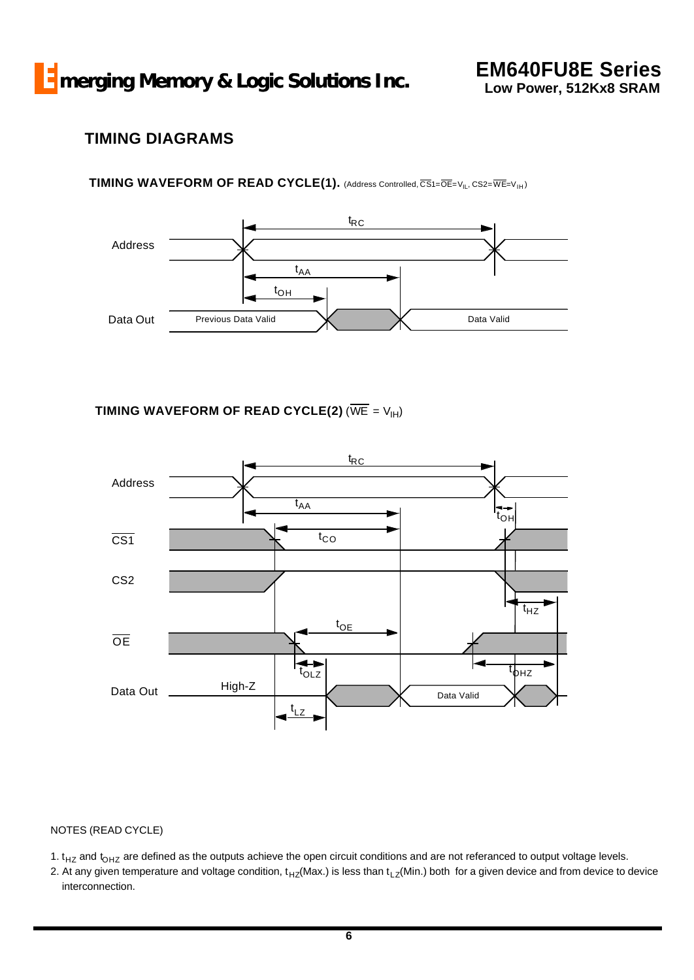# **TIMING DIAGRAMS**

## TIMING WAVEFORM OF READ CYCLE(1). (Address Controlled, CS1=OE=V<sub>IL</sub>, CS2=WE=V<sub>IH</sub>)



**TIMING WAVEFORM OF READ CYCLE(2) (** $\overline{WE} = V_{H}$ **)** 



#### NOTES (READ CYCLE)

1.  $t_{HZ}$  and  $t_{OHZ}$  are defined as the outputs achieve the open circuit conditions and are not referanced to output voltage levels.

2. At any given temperature and voltage condition,  $t_{HZ}(Max.)$  is less than  $t_{LZ}(Min.)$  both for a given device and from device to device interconnection.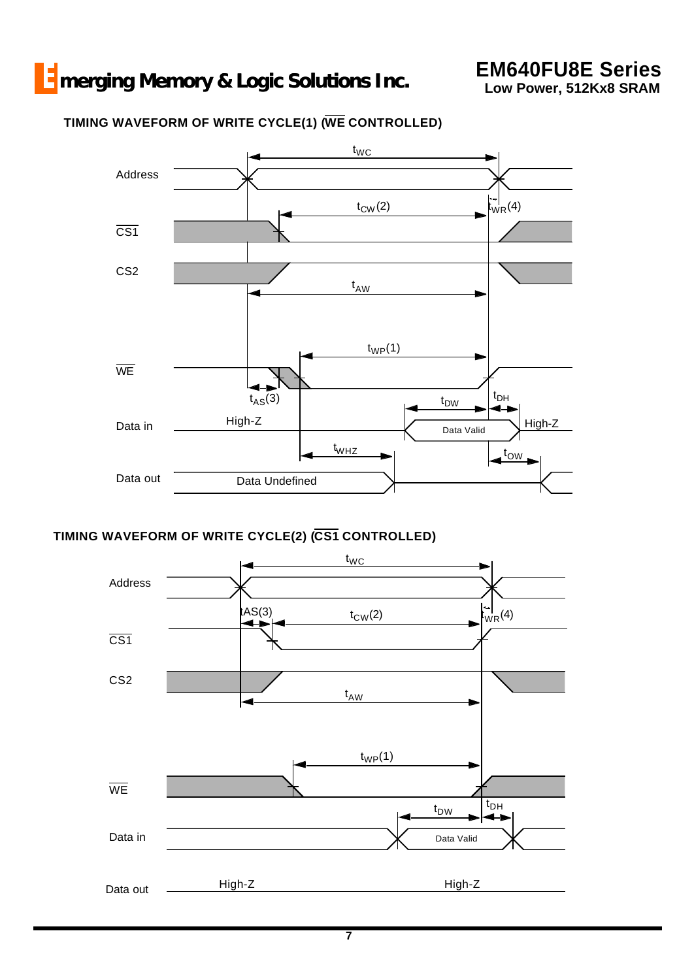## **TIMING WAVEFORM OF WRITE CYCLE(1) (WE CONTROLLED)**



## **TIMING WAVEFORM OF WRITE CYCLE(2) (CS1 CONTROLLED)**

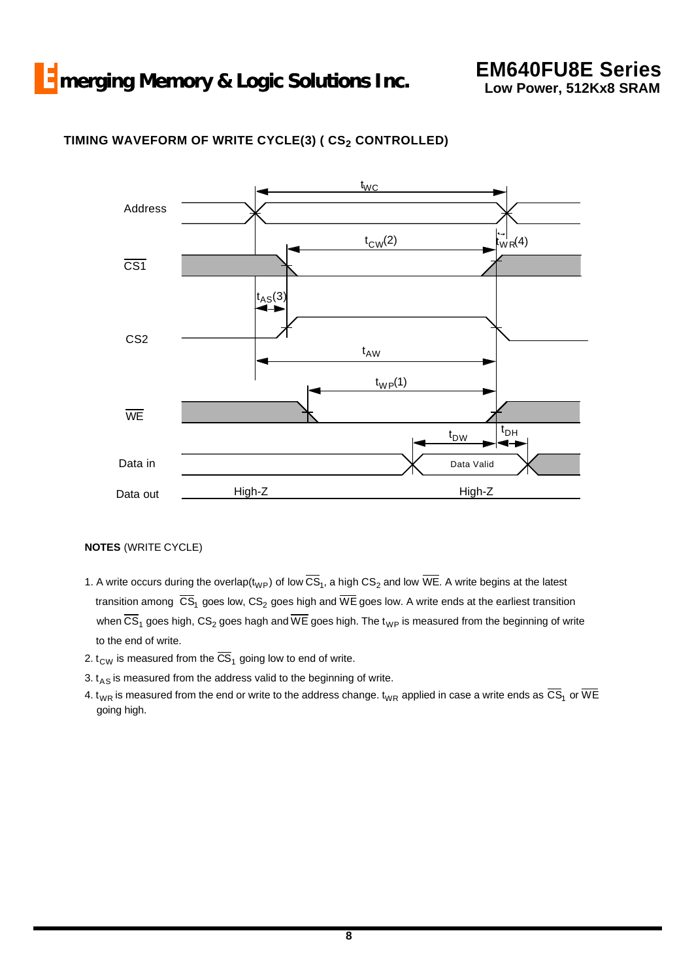

## **TIMING WAVEFORM OF WRITE CYCLE(3) ( CS2 CONTROLLED)**

#### **NOTES** (WRITE CYCLE)

- 1. A write occurs during the overlap(t<sub>WP</sub>) of low CS<sub>1</sub>, a high CS<sub>2</sub> and low WE. A write begins at the latest transition among  $|{\rm CS}_{1}|$  goes low,  ${\rm CS}_{2}$  goes high and WE goes low. A write ends at the earliest transition when CS<sub>1</sub> goes high, CS<sub>2</sub> goes hagh and WE goes high. The t<sub>WP</sub> is measured from the beginning of write to the end of write.
- 2.  $\rm t_{\rm CW}$  is measured from the CS<sub>1</sub> going low to end of write.
- 3.  $t_{AS}$  is measured from the address valid to the beginning of write.
- 4.  ${\rm t_{WR}}$  is measured from the end or write to the address change.  ${\rm t_{WR}}$  applied in case a write ends as  ${\rm CS_{1}}$  or WE going high.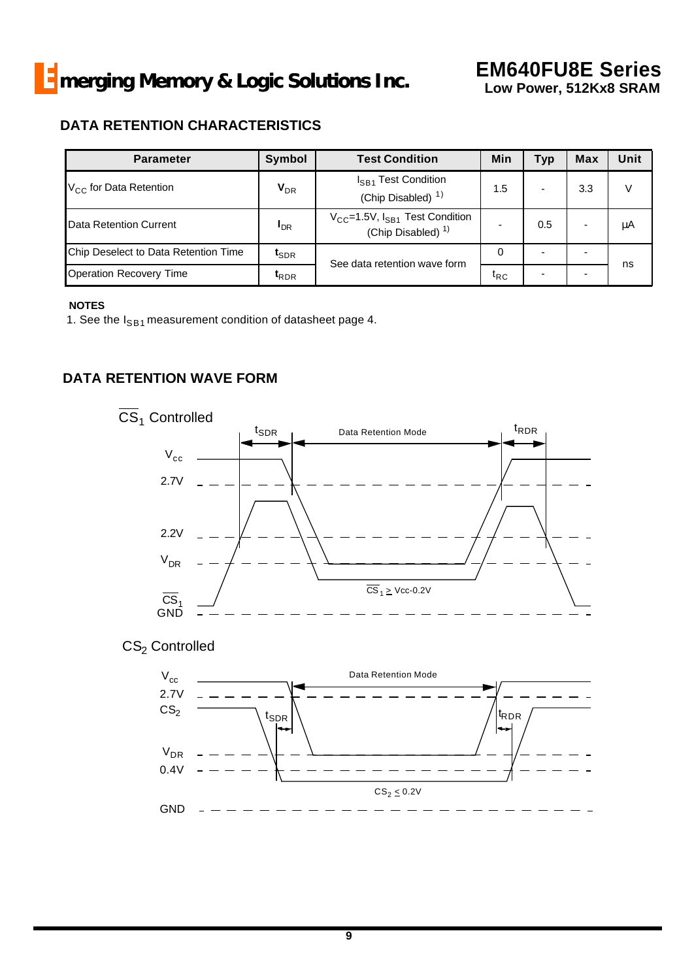## **DATA RETENTION CHARACTERISTICS**

| <b>Parameter</b>                     | Symbol                     | <b>Test Condition</b>                                                     | Min                          | <b>Typ</b> | <b>Max</b> | Unit |
|--------------------------------------|----------------------------|---------------------------------------------------------------------------|------------------------------|------------|------------|------|
| $V_{CC}$ for Data Retention          | $\mathsf{V}_{\mathsf{DR}}$ | I <sub>SB1</sub> Test Condition<br>(Chip Disabled) <sup>1)</sup>          | 1.5                          |            | 3.3        | V    |
| Data Retention Current               | <sup>I</sup> DR            | $V_{CC}$ =1.5V, $I_{SB1}$ Test Condition<br>(Chip Disabled) <sup>1)</sup> |                              | 0.5        |            | μA   |
| Chip Deselect to Data Retention Time | $t_{\sf SDR}$              | See data retention wave form                                              | 0                            |            |            |      |
| <b>Operation Recovery Time</b>       | $t_{RDR}$                  |                                                                           | $\mathfrak{r}_{\mathsf{RC}}$ |            |            | ns   |

#### **NOTES**

1. See the  $I_{SB1}$  measurement condition of datasheet page 4.

## **DATA RETENTION WAVE FORM**



## $\text{CS}_2$  Controlled

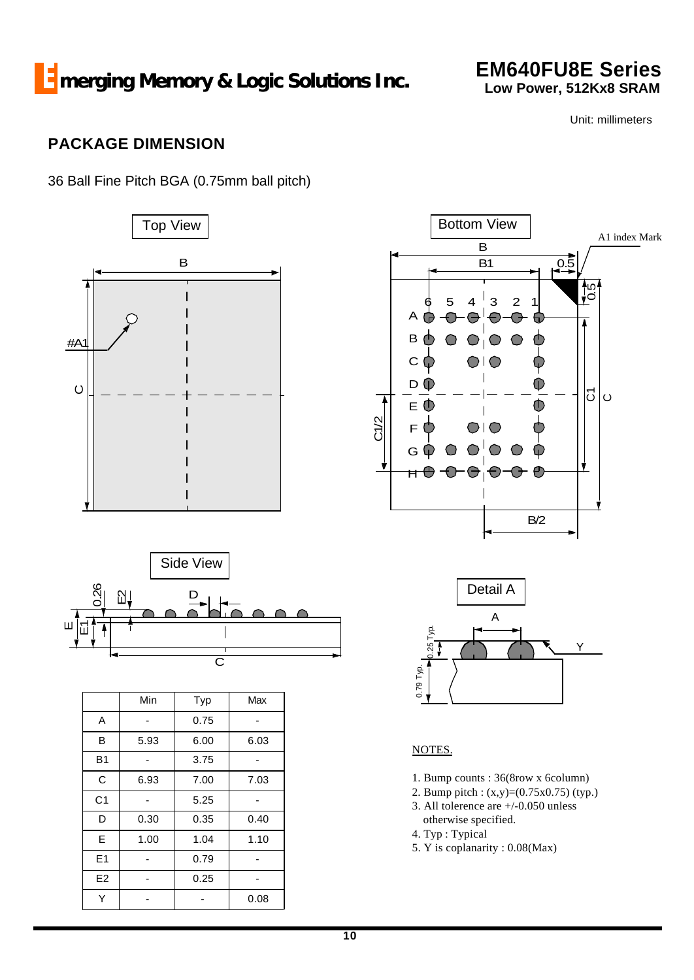**EM640FU8E Series Low Power, 512Kx8 SRAM**

Unit: millimeters

# **PACKAGE DIMENSION**

36 Ball Fine Pitch BGA (0.75mm ball pitch)



E1 - 0.79 - E2 - 0.25 -Y - 0.08



- 2. Bump pitch : (x,y)=(0.75x0.75) (typ.)
- 3. All tolerence are +/-0.050 unless
- otherwise specified.
- 4. Typ : Typical
- 5. Y is coplanarity : 0.08(Max)